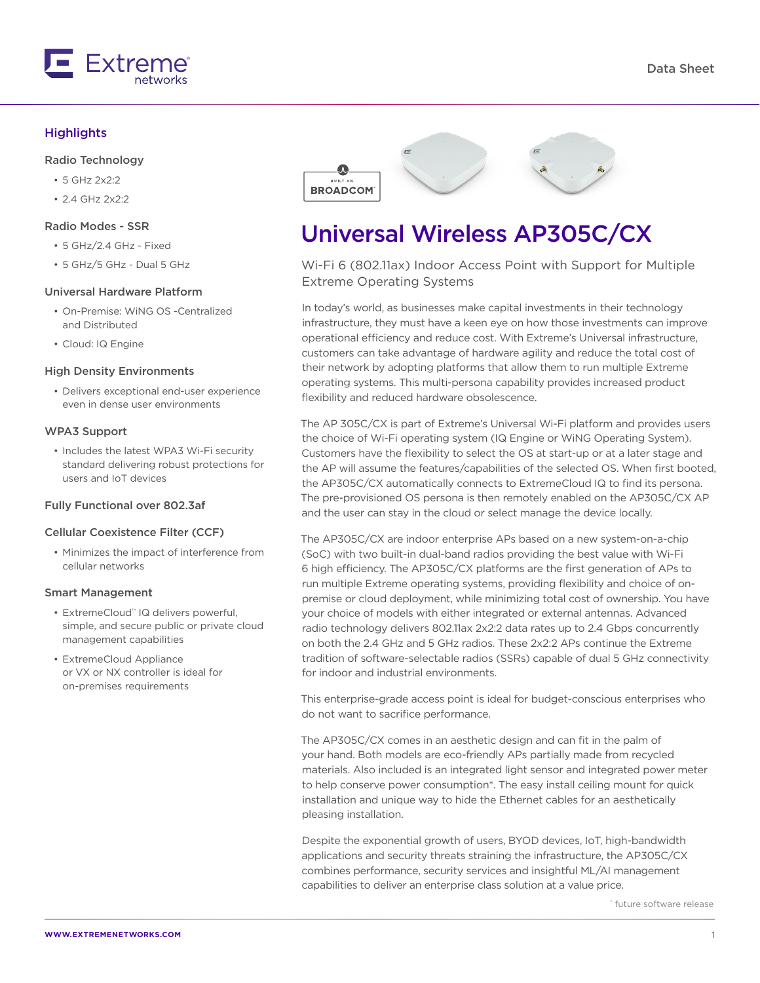

#### **Highlights**

#### Radio Technology

- 5 GHz 2x2:2
- 2.4 GHz 2x2:2

#### Radio Modes - SSR

- 5 GHz/2.4 GHz Fixed
- 5 GHz/5 GHz Dual 5 GHz

#### Universal Hardware Platform

- On-Premise: WiNG OS -Centralized and Distributed
- Cloud: IQ Engine

#### High Density Environments

• Delivers exceptional end-user experience even in dense user environments

#### WPA3 Support

• Includes the latest WPA3 Wi-Fi security standard delivering robust protections for users and IoT devices

#### Fully Functional over 802.3af

#### Cellular Coexistence Filter (CCF)

• Minimizes the impact of interference from cellular networks

#### Smart Management

- ExtremeCloud™ IQ delivers powerful, simple, and secure public or private cloud management capabilities
- ExtremeCloud Appliance or VX or NX controller is ideal for on-premises requirements



# Universal Wireless AP305C/CX

Wi-Fi 6 (802.11ax) Indoor Access Point with Support for Multiple Extreme Operating Systems

In today's world, as businesses make capital investments in their technology infrastructure, they must have a keen eye on how those investments can improve operational efficiency and reduce cost. With Extreme's Universal infrastructure, customers can take advantage of hardware agility and reduce the total cost of their network by adopting platforms that allow them to run multiple Extreme operating systems. This multi-persona capability provides increased product flexibility and reduced hardware obsolescence.

The AP 305C/CX is part of Extreme's Universal Wi-Fi platform and provides users the choice of Wi-Fi operating system (IQ Engine or WiNG Operating System). Customers have the flexibility to select the OS at start-up or at a later stage and the AP will assume the features/capabilities of the selected OS. When first booted, the AP305C/CX automatically connects to ExtremeCloud IQ to find its persona. The pre-provisioned OS persona is then remotely enabled on the AP305C/CX AP and the user can stay in the cloud or select manage the device locally.

The AP305C/CX are indoor enterprise APs based on a new system-on-a-chip (SoC) with two built-in dual-band radios providing the best value with Wi-Fi 6 high efficiency. The AP305C/CX platforms are the first generation of APs to run multiple Extreme operating systems, providing flexibility and choice of onpremise or cloud deployment, while minimizing total cost of ownership. You have your choice of models with either integrated or external antennas. Advanced radio technology delivers 802.11ax 2x2:2 data rates up to 2.4 Gbps concurrently on both the 2.4 GHz and 5 GHz radios. These 2x2:2 APs continue the Extreme tradition of software-selectable radios (SSRs) capable of dual 5 GHz connectivity for indoor and industrial environments.

This enterprise-grade access point is ideal for budget-conscious enterprises who do not want to sacrifice performance.

The AP305C/CX comes in an aesthetic design and can fit in the palm of your hand. Both models are eco-friendly APs partially made from recycled materials. Also included is an integrated light sensor and integrated power meter to help conserve power consumption\*. The easy install ceiling mount for quick installation and unique way to hide the Ethernet cables for an aesthetically pleasing installation.

Despite the exponential growth of users, BYOD devices, IoT, high-bandwidth applications and security threats straining the infrastructure, the AP305C/CX combines performance, security services and insightful ML/AI management capabilities to deliver an enterprise class solution at a value price.

\* future software release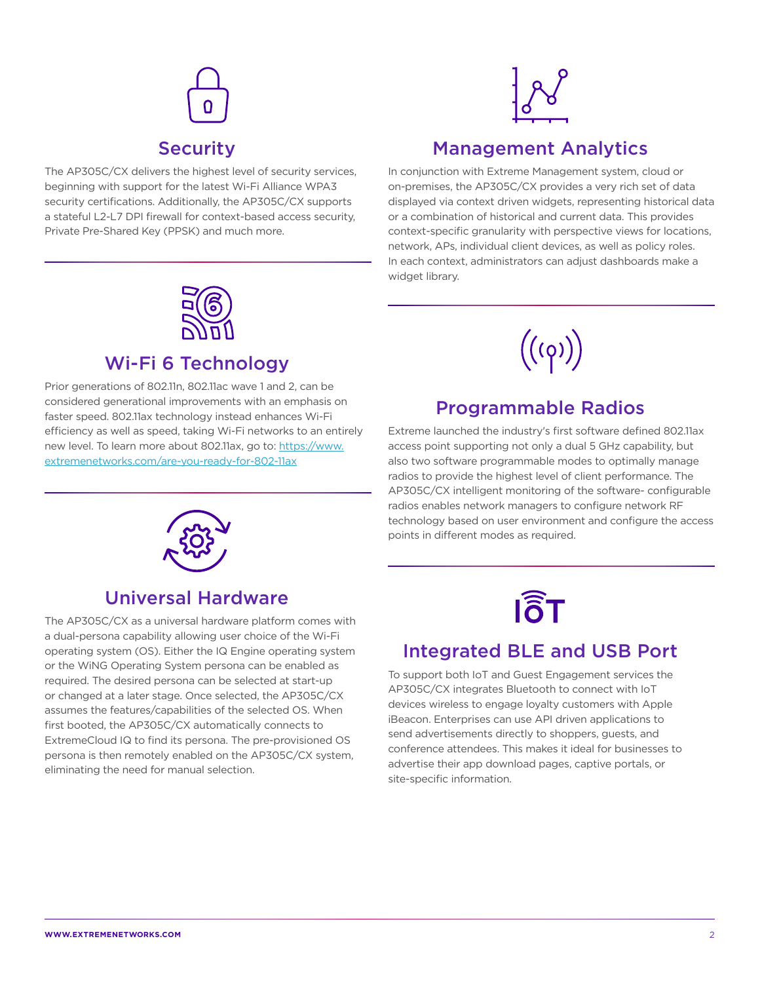# Security

The AP305C/CX delivers the highest level of security services, beginning with support for the latest Wi-Fi Alliance WPA3 security certifications. Additionally, the AP305C/CX supports a stateful L2-L7 DPI firewall for context-based access security, Private Pre-Shared Key (PPSK) and much more.



## Management Analytics

In conjunction with Extreme Management system, cloud or on-premises, the AP305C/CX provides a very rich set of data displayed via context driven widgets, representing historical data or a combination of historical and current data. This provides context-specific granularity with perspective views for locations, network, APs, individual client devices, as well as policy roles. In each context, administrators can adjust dashboards make a widget library.



## Wi-Fi 6 Technology

Prior generations of 802.11n, 802.11ac wave 1 and 2, can be considered generational improvements with an emphasis on faster speed. 802.11ax technology instead enhances Wi-Fi efficiency as well as speed, taking Wi-Fi networks to an entirely new level. To learn more about 802.11ax, go to: https://www. extremenetworks.com/are-you-ready-for-802-11ax



## Programmable Radios

Extreme launched the industry's first software defined 802.11ax access point supporting not only a dual 5 GHz capability, but also two software programmable modes to optimally manage radios to provide the highest level of client performance. The AP305C/CX intelligent monitoring of the software- configurable radios enables network managers to configure network RF technology based on user environment and configure the access points in different modes as required.



## Universal Hardware

The AP305C/CX as a universal hardware platform comes with a dual-persona capability allowing user choice of the Wi-Fi operating system (OS). Either the IQ Engine operating system or the WiNG Operating System persona can be enabled as required. The desired persona can be selected at start-up or changed at a later stage. Once selected, the AP305C/CX assumes the features/capabilities of the selected OS. When first booted, the AP305C/CX automatically connects to ExtremeCloud IQ to find its persona. The pre-provisioned OS persona is then remotely enabled on the AP305C/CX system, eliminating the need for manual selection.



## Integrated BLE and USB Port

To support both IoT and Guest Engagement services the AP305C/CX integrates Bluetooth to connect with IoT devices wireless to engage loyalty customers with Apple iBeacon. Enterprises can use API driven applications to send advertisements directly to shoppers, guests, and conference attendees. This makes it ideal for businesses to advertise their app download pages, captive portals, or site-specific information.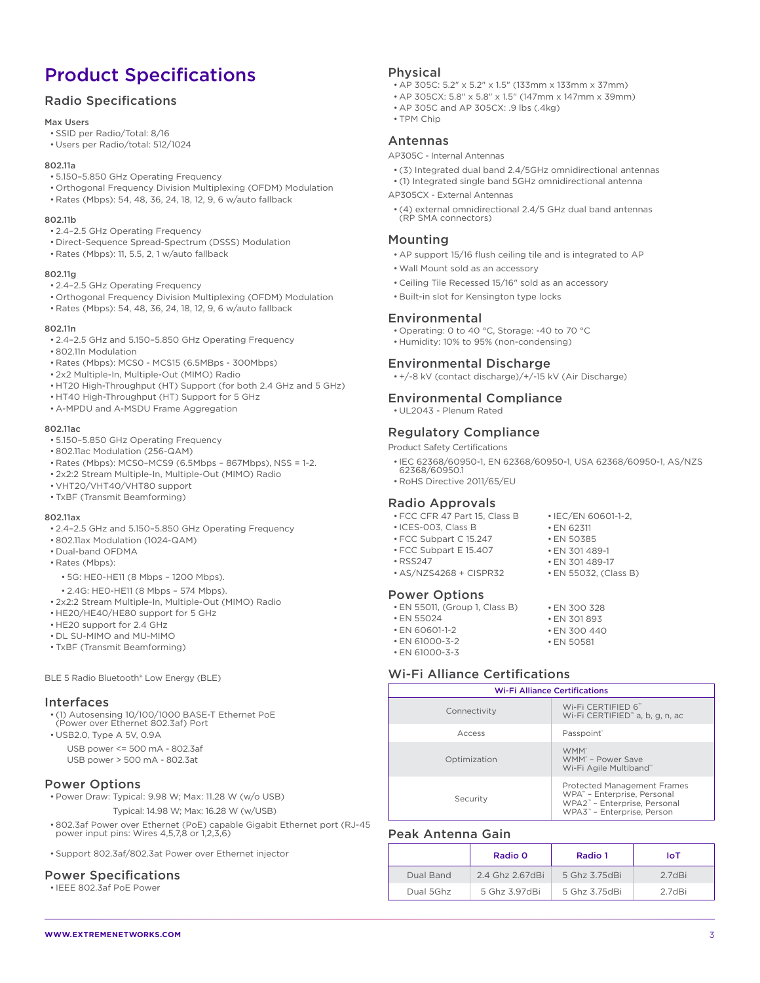## Product Specifications

#### Radio Specifications

#### Max Users

- SSID per Radio/Total: 8/16
- Users per Radio/total: 512/1024

#### 802.11a

- 5.150–5.850 GHz Operating Frequency
- Orthogonal Frequency Division Multiplexing (OFDM) Modulation
- Rates (Mbps): 54, 48, 36, 24, 18, 12, 9, 6 w/auto fallback

#### 802.11b

- 2.4–2.5 GHz Operating Frequency
- Direct-Sequence Spread-Spectrum (DSSS) Modulation
- Rates (Mbps): 11, 5.5, 2, 1 w/auto fallback

#### 802.11g

- 2.4–2.5 GHz Operating Frequency
- Orthogonal Frequency Division Multiplexing (OFDM) Modulation
- Rates (Mbps): 54, 48, 36, 24, 18, 12, 9, 6 w/auto fallback

#### 802.11n

- 2.4–2.5 GHz and 5.150–5.850 GHz Operating Frequency
- 802.11n Modulation
- Rates (Mbps): MCS0 MCS15 (6.5MBps 300Mbps)
- 2x2 Multiple-In, Multiple-Out (MIMO) Radio
- HT20 High-Throughput (HT) Support (for both 2.4 GHz and 5 GHz)
- HT40 High-Throughput (HT) Support for 5 GHz
- A-MPDU and A-MSDU Frame Aggregation

#### 802.11ac

- 5.150–5.850 GHz Operating Frequency
- 802.11ac Modulation (256-QAM)
- Rates (Mbps): MCS0–MCS9 (6.5Mbps 867Mbps), NSS = 1-2.
- 2x2:2 Stream Multiple-In, Multiple-Out (MIMO) Radio
- VHT20/VHT40/VHT80 support
- TxBF (Transmit Beamforming)

#### 802.11ax

- 2.4–2.5 GHz and 5.150–5.850 GHz Operating Frequency
- 802.11ax Modulation (1024-QAM)
- Dual-band OFDMA
- Rates (Mbps):
	- 5G: HE0-HE11 (8 Mbps 1200 Mbps).
- 2.4G: HE0-HE11 (8 Mbps 574 Mbps).
- 2x2:2 Stream Multiple-In, Multiple-Out (MIMO) Radio
- HE20/HE40/HE80 support for 5 GHz
- HE20 support for 2.4 GHz
- DL SU-MIMO and MU-MIMO
- TxBF (Transmit Beamforming)

BLE 5 Radio Bluetooth® Low Energy (BLE)

#### Interfaces

- (1) Autosensing 10/100/1000 BASE-T Ethernet PoE (Power over Ethernet 802.3af) Port
- USB2.0, Type A 5V, 0.9A USB power <= 500 mA - 802.3af USB power > 500 mA - 802.3at

#### Power Options

- Power Draw: Typical: 9.98 W; Max: 11.28 W (w/o USB) Typical: 14.98 W; Max: 16.28 W (w/USB)
- 802.3af Power over Ethernet (PoE) capable Gigabit Ethernet port (RJ-45 power input pins: Wires 4,5,7,8 or 1,2,3,6)
- Support 802.3af/802.3at Power over Ethernet injector

#### Power Specifications

• IEEE 802.3af PoE Power

#### Physical

- AP 305C: 5.2" x 5.2" x 1.5" (133mm x 133mm x 37mm)
- AP 305CX: 5.8" x 5.8" x 1.5" (147mm x 147mm x 39mm)
- AP 305C and AP 305CX: .9 lbs (.4kg)
- TPM Chip

#### Antennas

AP305C - Internal Antennas

- (3) Integrated dual band 2.4/5GHz omnidirectional antennas
- (1) Integrated single band 5GHz omnidirectional antenna

AP305CX - External Antennas

• (4) external omnidirectional 2.4/5 GHz dual band antennas (RP SMA connectors)

#### Mounting

- AP support 15/16 flush ceiling tile and is integrated to AP
- Wall Mount sold as an accessory
- Ceiling Tile Recessed 15/16" sold as an accessory
- Built-in slot for Kensington type locks

#### Environmental

- Operating: 0 to 40 °C, Storage: -40 to 70 °C
- Humidity: 10% to 95% (non-condensing)

#### Environmental Discharge

• +/-8 kV (contact discharge)/+/-15 kV (Air Discharge)

#### Environmental Compliance

• UL2043 - Plenum Rated

#### Regulatory Compliance

- Product Safety Certifications
- IEC 62368/60950-1, EN 62368/60950-1, USA 62368/60950-1, AS/NZS 62368/60950.1
- RoHS Directive 2011/65/EU

#### Radio Approvals

- FCC CFR 47 Part 15, Class B
- ICES-003, Class B
- FCC Subpart C 15.247
- FCC Subpart E 15.407 • RSS247
- AS/NZS4268 + CISPR32
- 

#### Power Options

- EN 55011, (Group 1, Class B)
- EN 55024
- EN 60601-1-2
- EN 61000-3-2 • EN 61000-3-3

#### Wi-Fi Alliance Certifications

| <b>Wi-Fi Alliance Certifications</b> |                                                                                                                                 |  |
|--------------------------------------|---------------------------------------------------------------------------------------------------------------------------------|--|
| Connectivity                         | Wi-Fi CERTIFIED 6 <sup>**</sup><br>Wi-Fi CERTIFIED <sup>"</sup> a, b, g, n, ac                                                  |  |
| Access                               | Passpoint <sup>®</sup>                                                                                                          |  |
| Optimization                         | WMM <sup>®</sup><br>WMM <sup>®</sup> - Power Save<br>Wi-Fi Agile Multiband"                                                     |  |
| Security                             | <b>Protected Management Frames</b><br>WPA" - Enterprise, Personal<br>WPA2" - Enterprise, Personal<br>WPA3" - Enterprise, Person |  |

#### Peak Antenna Gain

|           | Radio 0         | Radio 1       | IoT    |
|-----------|-----------------|---------------|--------|
| Dual Band | 2.4 Ghz 2.67dBi | 5 Ghz 3.75dBi | 2.7dBi |
| Dual 5Ghz | 5 Ghz 3 97dBi   | 5 Ghz 3.75dBi | 2.7dBi |

• EN 300 328 • EN 301 893 • EN 300 440

• EN 50581

• IEC/EN 60601-1-2, • EN 62311 • EN 50385 • EN 301 489-1 • EN 301 489-17 • EN 55032, (Class B)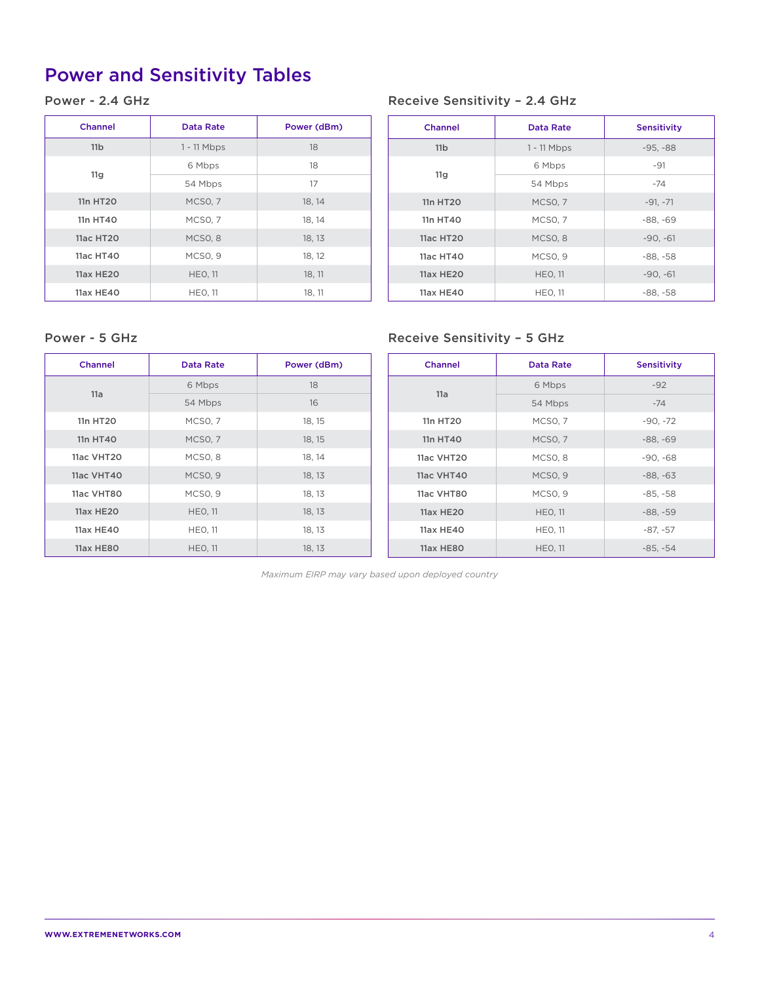# Power and Sensitivity Tables

#### Power - 2.4 GHz

| <b>Channel</b>   | Data Rate           | Power (dBm) |
|------------------|---------------------|-------------|
| 11 <sub>b</sub>  | $1 - 11$ Mbps       | 18          |
| 11g              | 6 Mbps              | 18          |
|                  | 54 Mbps             | 17          |
| 11n HT20         | MCSO <sub>, 7</sub> | 18, 14      |
| 11n HT40         | MCSO, 7             | 18, 14      |
| 11ac HT20        | MCSO <sub>, 8</sub> | 18, 13      |
| 11ac HT40        | MCSO, 9             | 18, 12      |
| <b>11ax HE20</b> | <b>HEO, 11</b>      | 18, 11      |
| 11ax HE40        | <b>HEO, 11</b>      | 18, 11      |

#### Receive Sensitivity – 2.4 GHz

| Channel         | Data Rate           | <b>Sensitivity</b> |
|-----------------|---------------------|--------------------|
| 11 <sub>b</sub> | $1 - 11$ Mbps       | $-95, -88$         |
| 11g             | 6 Mbps              | $-91$              |
|                 | 54 Mbps             | $-74$              |
| 11n HT20        | <b>MCSO, 7</b>      | $-91, -71$         |
| 11n HT40        | MCSO, 7             | $-88, -69$         |
| 11ac HT20       | MCSO <sub>, 8</sub> | $-90, -61$         |
| 11ac HT40       | MCSO <sub>, 9</sub> | $-88, -58$         |
| 11ax HE20       | <b>HEO, 11</b>      | $-90, -61$         |
| 11ax HE40       | <b>HEO, 11</b>      | $-88, -58$         |

#### Power - 5 GHz

| Power - 5 GHz  |                     |             | <b>Receive Sensitivity - 5 GHz</b> |                     |                    |
|----------------|---------------------|-------------|------------------------------------|---------------------|--------------------|
| <b>Channel</b> | Data Rate           | Power (dBm) | <b>Channel</b>                     | <b>Data Rate</b>    | <b>Sensitivity</b> |
| 11a            | 6 Mbps              | 18          |                                    | 6 Mbps              | $-92$              |
|                | 54 Mbps             | 16          | 11a                                | 54 Mbps             | $-74$              |
| 11n HT20       | MCSO, 7             | 18, 15      | 11n HT20                           | MCSO, 7             | $-90, -72$         |
| 11n HT40       | <b>MCSO, 7</b>      | 18, 15      | 11n HT40                           | <b>MCSO, 7</b>      | $-88, -69$         |
| 11ac VHT20     | MCSO <sub>, 8</sub> | 18, 14      | 11ac VHT20                         | MCSO <sub>, 8</sub> | $-90, -68$         |
| 11ac VHT40     | MCSO <sub>, 9</sub> | 18, 13      | 11ac VHT40                         | <b>MCSO, 9</b>      | $-88, -63$         |
| 11ac VHT80     | MCSO, 9             | 18, 13      | 11ac VHT80                         | <b>MCSO, 9</b>      | $-85, -58$         |
| 11ax HE20      | <b>HEO, 11</b>      | 18, 13      | 11ax HE20                          | <b>HEO, 11</b>      | $-88, -59$         |
| 11ax HE40      | HEO, 11             | 18, 13      | 11ax HE40                          | <b>HEO, 11</b>      | $-87, -57$         |
| 11ax HE80      | <b>HEO, 11</b>      | 18, 13      | 11ax HE80                          | <b>HEO, 11</b>      | $-85, -54$         |

*Maximum EIRP may vary based upon deployed country*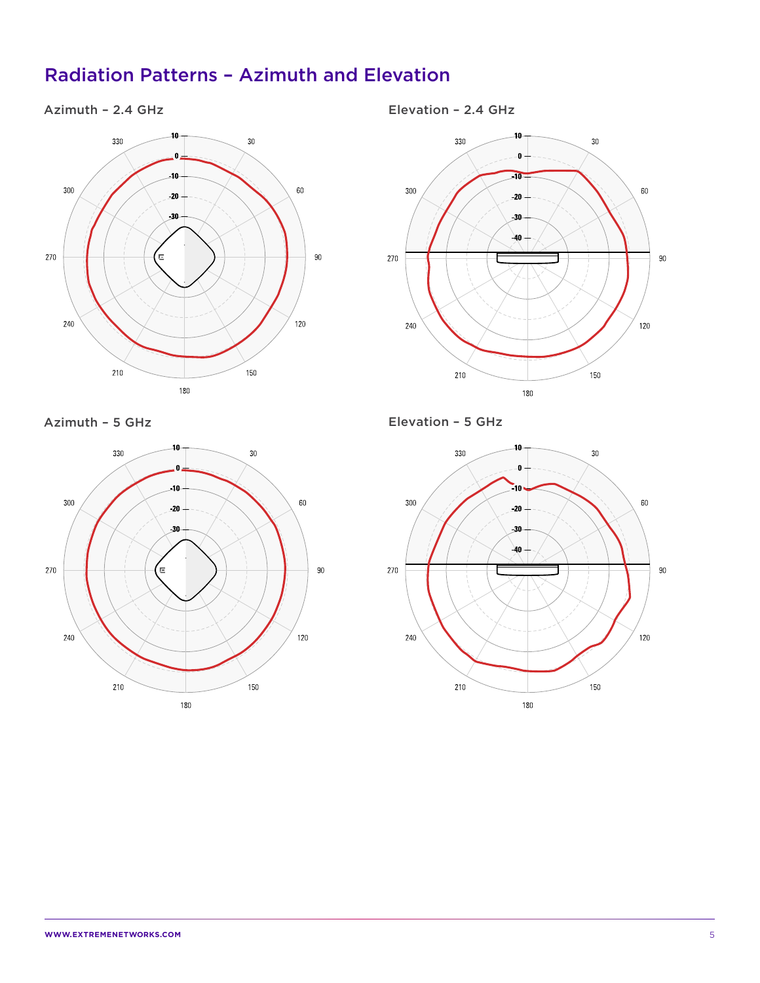## Radiation Patterns – Azimuth and Elevation

### Azimuth – 2.4 GHz



Azimuth – 5 GHz



Elevation – 2.4 GHz



Elevation – 5 GHz

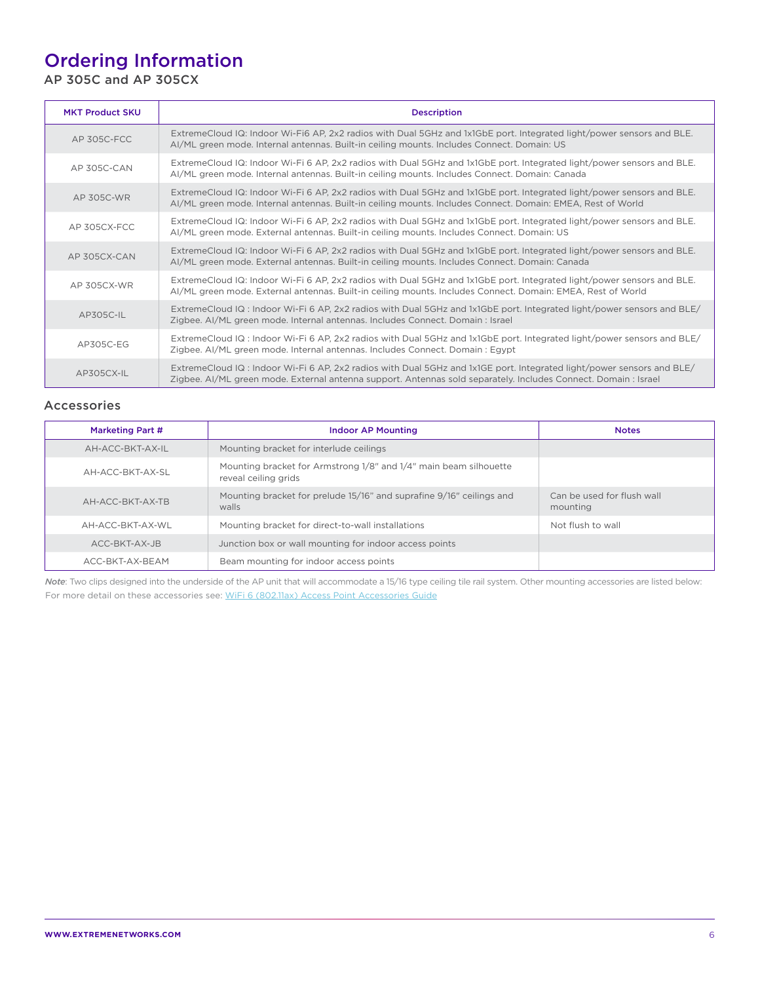## Ordering Information

AP 305C and AP 305CX

| <b>MKT Product SKU</b> | <b>Description</b>                                                                                                                                                                                                                       |
|------------------------|------------------------------------------------------------------------------------------------------------------------------------------------------------------------------------------------------------------------------------------|
| AP 305C-FCC            | ExtremeCloud IQ: Indoor Wi-Fi6 AP, 2x2 radios with Dual 5GHz and 1x1GbE port. Integrated light/power sensors and BLE.<br>Al/ML green mode. Internal antennas. Built-in ceiling mounts. Includes Connect. Domain: US                      |
| AP 305C-CAN            | ExtremeCloud IQ: Indoor Wi-Fi 6 AP, 2x2 radios with Dual 5GHz and 1x1GbE port. Integrated light/power sensors and BLE.<br>AI/ML green mode. Internal antennas. Built-in ceiling mounts. Includes Connect. Domain: Canada                 |
| AP 305C-WR             | ExtremeCloud IQ: Indoor Wi-Fi 6 AP, 2x2 radios with Dual 5GHz and 1x1GbE port. Integrated light/power sensors and BLE.<br>AI/ML green mode. Internal antennas. Built-in ceiling mounts. Includes Connect. Domain: EMEA, Rest of World    |
| AP 305CX-FCC           | ExtremeCloud IQ: Indoor Wi-Fi 6 AP, 2x2 radios with Dual 5GHz and 1x1GbE port. Integrated light/power sensors and BLE.<br>Al/ML green mode. External antennas. Built-in ceiling mounts. Includes Connect. Domain: US                     |
| AP 305CX-CAN           | ExtremeCloud IQ: Indoor Wi-Fi 6 AP, 2x2 radios with Dual 5GHz and 1x1GbE port. Integrated light/power sensors and BLE.<br>Al/ML green mode. External antennas. Built-in ceiling mounts. Includes Connect. Domain: Canada                 |
| AP 305CX-WR            | ExtremeCloud IQ: Indoor Wi-Fi 6 AP, 2x2 radios with Dual 5GHz and 1x1GbE port. Integrated light/power sensors and BLE.<br>AI/ML green mode. External antennas. Built-in ceiling mounts. Includes Connect. Domain: EMEA, Rest of World    |
| $AP305C-II$            | ExtremeCloud IQ : Indoor Wi-Fi 6 AP, 2x2 radios with Dual 5GHz and 1x1GbE port. Integrated light/power sensors and BLE/<br>Zigbee. AI/ML green mode. Internal antennas. Includes Connect. Domain : Israel                                |
| AP305C-EG              | ExtremeCloud IQ : Indoor Wi-Fi 6 AP, 2x2 radios with Dual 5GHz and 1x1GbE port. Integrated light/power sensors and BLE/<br>Zigbee. Al/ML green mode. Internal antennas. Includes Connect. Domain : Egypt                                 |
| AP305CX-IL             | ExtremeCloud IQ: Indoor Wi-Fi 6 AP, 2x2 radios with Dual 5GHz and 1x1GE port. Integrated light/power sensors and BLE/<br>Zigbee. AI/ML green mode. External antenna support. Antennas sold separately. Includes Connect. Domain : Israel |

#### Accessories

| Marketing Part # | <b>Indoor AP Mounting</b>                                                                 | <b>Notes</b>                           |
|------------------|-------------------------------------------------------------------------------------------|----------------------------------------|
| AH-ACC-BKT-AX-IL | Mounting bracket for interlude ceilings                                                   |                                        |
| AH-ACC-BKT-AX-SI | Mounting bracket for Armstrong 1/8" and 1/4" main beam silhouette<br>reveal ceiling grids |                                        |
| AH-ACC-BKT-AX-TB | Mounting bracket for prelude 15/16" and suprafine 9/16" ceilings and<br>walls             | Can be used for flush wall<br>mounting |
| AH-ACC-BKT-AX-WL | Mounting bracket for direct-to-wall installations                                         | Not flush to wall                      |
| ACC-BKT-AX-JB    | Junction box or wall mounting for indoor access points                                    |                                        |
| ACC-BKT-AX-BEAM  | Beam mounting for indoor access points                                                    |                                        |

*Note*: Two clips designed into the underside of the AP unit that will accommodate a 15/16 type ceiling tile rail system. Other mounting accessories are listed below: For more detail on these accessories see: [WiFi 6 \(802.11ax\) Access Point Accessories Guide](https://documentation.extremenetworks.com/wireless/Accessories_Guide/GUID-64613D53-21D6-43FF-A2AA-28C9928A7FCB.shtml)